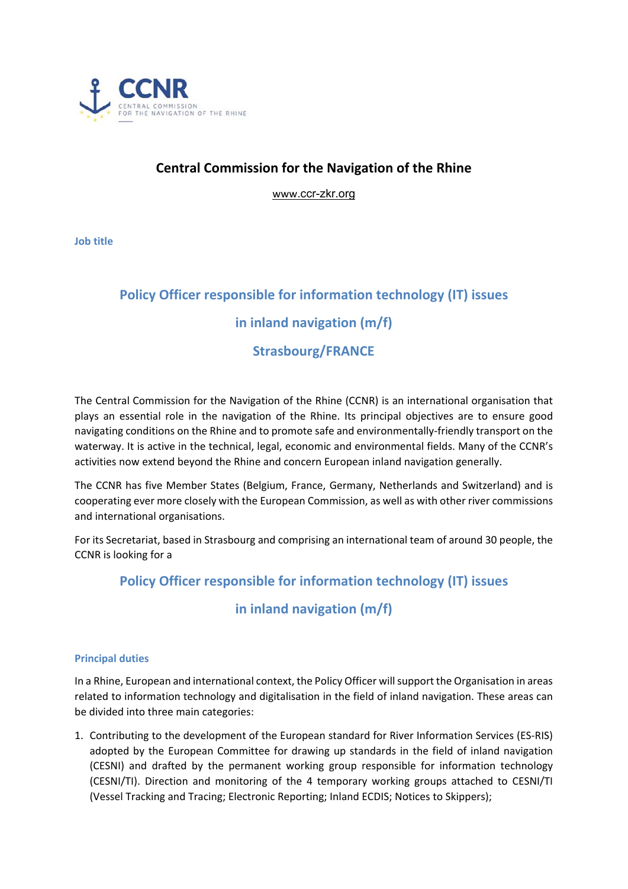

# **Central Commission for the Navigation of the Rhine**

www.ccr-zkr.org

**Job title** 

# **Policy Officer responsible for information technology (IT) issues in inland navigation (m/f)**

# **Strasbourg/FRANCE**

The Central Commission for the Navigation of the Rhine (CCNR) is an international organisation that plays an essential role in the navigation of the Rhine. Its principal objectives are to ensure good navigating conditions on the Rhine and to promote safe and environmentally‐friendly transport on the waterway. It is active in the technical, legal, economic and environmental fields. Many of the CCNR's activities now extend beyond the Rhine and concern European inland navigation generally.

The CCNR has five Member States (Belgium, France, Germany, Netherlands and Switzerland) and is cooperating ever more closely with the European Commission, as well as with other river commissions and international organisations.

For its Secretariat, based in Strasbourg and comprising an international team of around 30 people, the CCNR is looking for a

## **Policy Officer responsible for information technology (IT) issues**

# **in inland navigation (m/f)**

## **Principal duties**

In a Rhine, European and international context, the Policy Officer will support the Organisation in areas related to information technology and digitalisation in the field of inland navigation. These areas can be divided into three main categories:

1. Contributing to the development of the European standard for River Information Services (ES‐RIS) adopted by the European Committee for drawing up standards in the field of inland navigation (CESNI) and drafted by the permanent working group responsible for information technology (CESNI/TI). Direction and monitoring of the 4 temporary working groups attached to CESNI/TI (Vessel Tracking and Tracing; Electronic Reporting; Inland ECDIS; Notices to Skippers);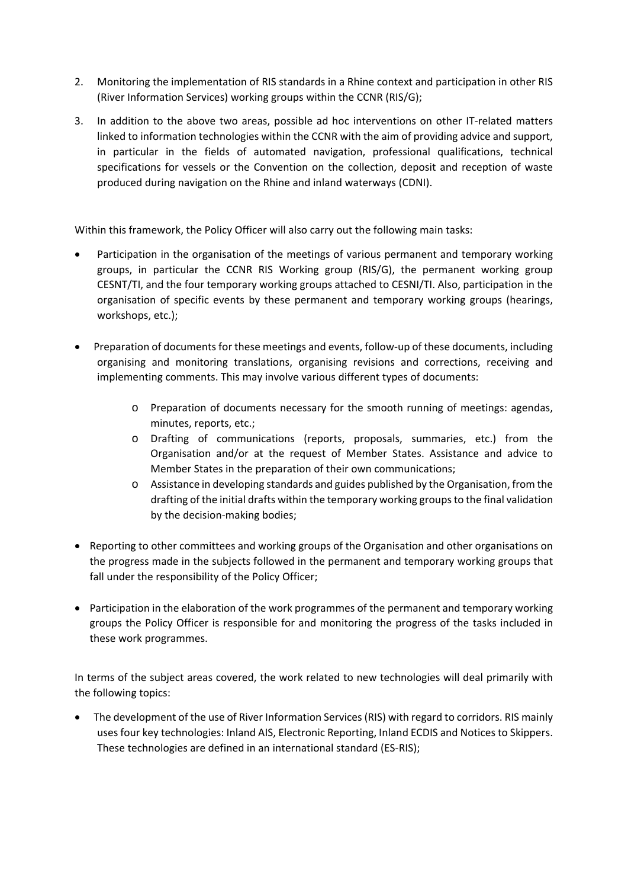- 2. Monitoring the implementation of RIS standards in a Rhine context and participation in other RIS (River Information Services) working groups within the CCNR (RIS/G);
- 3. In addition to the above two areas, possible ad hoc interventions on other IT-related matters linked to information technologies within the CCNR with the aim of providing advice and support, in particular in the fields of automated navigation, professional qualifications, technical specifications for vessels or the Convention on the collection, deposit and reception of waste produced during navigation on the Rhine and inland waterways (CDNI).

Within this framework, the Policy Officer will also carry out the following main tasks:

- Participation in the organisation of the meetings of various permanent and temporary working groups, in particular the CCNR RIS Working group (RIS/G), the permanent working group CESNT/TI, and the four temporary working groups attached to CESNI/TI. Also, participation in the organisation of specific events by these permanent and temporary working groups (hearings, workshops, etc.);
- Preparation of documents for these meetings and events, follow-up of these documents, including organising and monitoring translations, organising revisions and corrections, receiving and implementing comments. This may involve various different types of documents:
	- $\circ$  Preparation of documents necessary for the smooth running of meetings: agendas, minutes, reports, etc.;
	- o Drafting of communications (reports, proposals, summaries, etc.) from the Organisation and/or at the request of Member States. Assistance and advice to Member States in the preparation of their own communications;
	- o Assistance in developing standards and guides published by the Organisation, from the drafting of the initial drafts within the temporary working groups to the final validation by the decision‐making bodies;
- Reporting to other committees and working groups of the Organisation and other organisations on the progress made in the subjects followed in the permanent and temporary working groups that fall under the responsibility of the Policy Officer;
- Participation in the elaboration of the work programmes of the permanent and temporary working groups the Policy Officer is responsible for and monitoring the progress of the tasks included in these work programmes.

In terms of the subject areas covered, the work related to new technologies will deal primarily with the following topics:

 The development of the use of River Information Services (RIS) with regard to corridors. RIS mainly uses four key technologies: Inland AIS, Electronic Reporting, Inland ECDIS and Notices to Skippers. These technologies are defined in an international standard (ES‐RIS);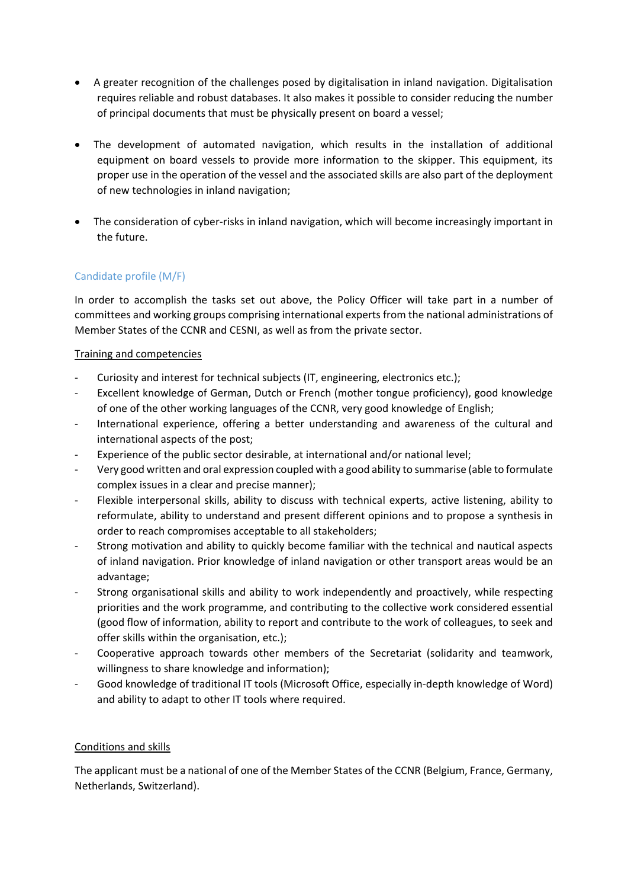- A greater recognition of the challenges posed by digitalisation in inland navigation. Digitalisation requires reliable and robust databases. It also makes it possible to consider reducing the number of principal documents that must be physically present on board a vessel;
- The development of automated navigation, which results in the installation of additional equipment on board vessels to provide more information to the skipper. This equipment, its proper use in the operation of the vessel and the associated skills are also part of the deployment of new technologies in inland navigation;
- The consideration of cyber-risks in inland navigation, which will become increasingly important in the future.

## Candidate profile (M/F)

In order to accomplish the tasks set out above, the Policy Officer will take part in a number of committees and working groups comprising international experts from the national administrations of Member States of the CCNR and CESNI, as well as from the private sector.

### Training and competencies

- ‐ Curiosity and interest for technical subjects (IT, engineering, electronics etc.);
- ‐ Excellent knowledge of German, Dutch or French (mother tongue proficiency), good knowledge of one of the other working languages of the CCNR, very good knowledge of English;
- International experience, offering a better understanding and awareness of the cultural and international aspects of the post;
- ‐ Experience of the public sector desirable, at international and/or national level;
- ‐ Very good written and oral expression coupled with a good ability to summarise (able to formulate complex issues in a clear and precise manner);
- ‐ Flexible interpersonal skills, ability to discuss with technical experts, active listening, ability to reformulate, ability to understand and present different opinions and to propose a synthesis in order to reach compromises acceptable to all stakeholders;
- Strong motivation and ability to quickly become familiar with the technical and nautical aspects of inland navigation. Prior knowledge of inland navigation or other transport areas would be an advantage;
- ‐ Strong organisational skills and ability to work independently and proactively, while respecting priorities and the work programme, and contributing to the collective work considered essential (good flow of information, ability to report and contribute to the work of colleagues, to seek and offer skills within the organisation, etc.);
- ‐ Cooperative approach towards other members of the Secretariat (solidarity and teamwork, willingness to share knowledge and information);
- ‐ Good knowledge of traditional IT tools (Microsoft Office, especially in‐depth knowledge of Word) and ability to adapt to other IT tools where required.

#### Conditions and skills

The applicant must be a national of one of the Member States of the CCNR (Belgium, France, Germany, Netherlands, Switzerland).